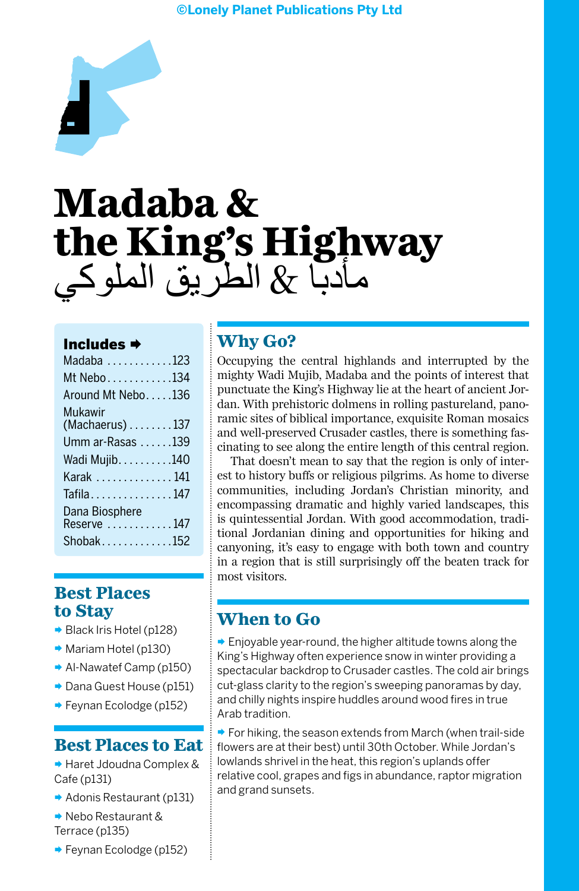#### **©Lonely Planet Publications Pty Ltd**



# **Madaba & the King's Highway**  مأدبا & الطريق الملوكي

#### Includes

| Madaba 123                      |
|---------------------------------|
| Mt Nebo134                      |
| Around Mt Nebo136               |
| Mukawir                         |
| $(Machaerus) \ldots \ldots 137$ |
| Umm ar-Rasas 139                |
| Wadi Mujib. 140                 |
| Karak  141                      |
| Tafila147                       |
| Dana Biosphere                  |
| Reserve 147                     |
| $Shobak$ 152                    |

## **Best Places to Stay**

- Black Iris Hotel (p128)
- **■** Mariam Hotel (p130)
- **▶ Al-Nawatef Camp (p150)**
- ¨ Dana Guest House (p151)
- ¨ Feynan Ecolodge (p152)

#### **Best Places to Eat**

¨ Haret Jdoudna Complex & Cafe (p131)

- ¨ Adonis Restaurant (p131)
- ¨ Nebo Restaurant & Terrace (p135)
- ¨ Feynan Ecolodge (p152)

# **Why Go?**

Occupying the central highlands and interrupted by the mighty Wadi Mujib, Madaba and the points of interest that punctuate the King's Highway lie at the heart of ancient Jordan. With prehistoric dolmens in rolling pastureland, panoramic sites of biblical importance, exquisite Roman mosaics and well-preserved Crusader castles, there is something fascinating to see along the entire length of this central region.

That doesn't mean to say that the region is only of interest to history buffs or religious pilgrims. As home to diverse communities, including Jordan's Christian minority, and encompassing dramatic and highly varied landscapes, this is quintessential Jordan. With good accommodation, traditional Jordanian dining and opportunities for hiking and canyoning, it's easy to engage with both town and country in a region that is still surprisingly off the beaten track for most visitors.

## **When to Go**

 $\rightarrow$  Enjoyable year-round, the higher altitude towns along the King's Highway often experience snow in winter providing a spectacular backdrop to Crusader castles. The cold air brings cut-glass clarity to the region's sweeping panoramas by day, and chilly nights inspire huddles around wood fires in true Arab tradition.

 $\rightarrow$  For hiking, the season extends from March (when trail-side flowers are at their best) until 30th October. While Jordan's lowlands shrivel in the heat, this region's uplands offer relative cool, grapes and figs in abundance, raptor migration and grand sunsets.